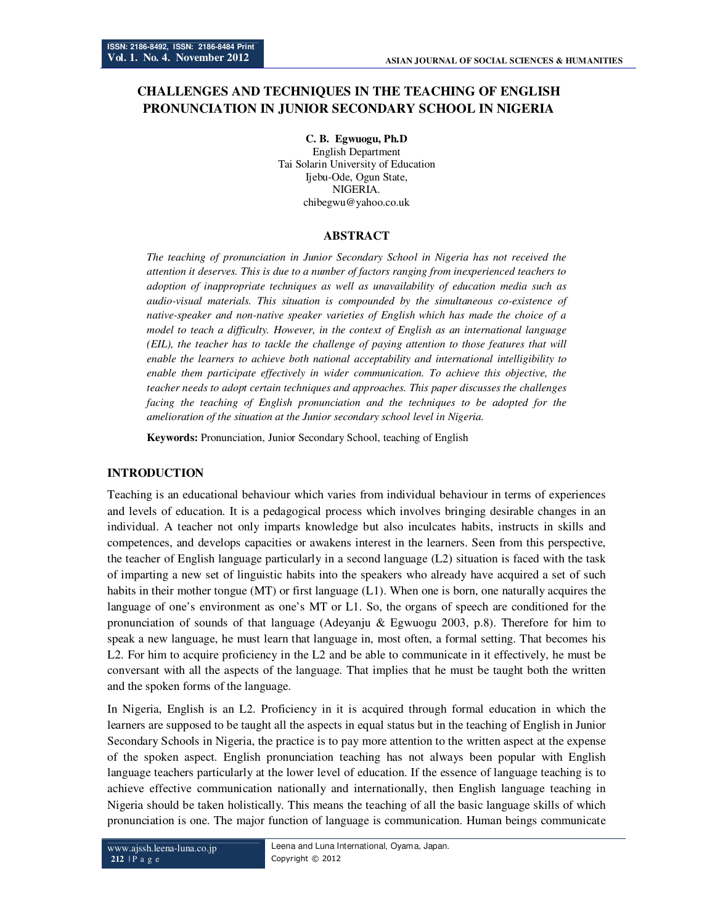# **CHALLENGES AND TECHNIQUES IN THE TEACHING OF ENGLISH PRONUNCIATION IN JUNIOR SECONDARY SCHOOL IN NIGERIA**

**C. B. Egwuogu, Ph.D**  English Department Tai Solarin University of Education Ijebu-Ode, Ogun State, NIGERIA. chibegwu@yahoo.co.uk

# **ABSTRACT**

*The teaching of pronunciation in Junior Secondary School in Nigeria has not received the attention it deserves. This is due to a number of factors ranging from inexperienced teachers to adoption of inappropriate techniques as well as unavailability of education media such as audio-visual materials. This situation is compounded by the simultaneous co-existence of native-speaker and non-native speaker varieties of English which has made the choice of a model to teach a difficulty. However, in the context of English as an international language (EIL), the teacher has to tackle the challenge of paying attention to those features that will enable the learners to achieve both national acceptability and international intelligibility to enable them participate effectively in wider communication. To achieve this objective, the teacher needs to adopt certain techniques and approaches. This paper discusses the challenges*  facing the teaching of English pronunciation and the techniques to be adopted for the *amelioration of the situation at the Junior secondary school level in Nigeria.* 

**Keywords:** Pronunciation, Junior Secondary School, teaching of English

### **INTRODUCTION**

Teaching is an educational behaviour which varies from individual behaviour in terms of experiences and levels of education. It is a pedagogical process which involves bringing desirable changes in an individual. A teacher not only imparts knowledge but also inculcates habits, instructs in skills and competences, and develops capacities or awakens interest in the learners. Seen from this perspective, the teacher of English language particularly in a second language (L2) situation is faced with the task of imparting a new set of linguistic habits into the speakers who already have acquired a set of such habits in their mother tongue (MT) or first language (L1). When one is born, one naturally acquires the language of one's environment as one's MT or L1. So, the organs of speech are conditioned for the pronunciation of sounds of that language (Adeyanju & Egwuogu 2003, p.8). Therefore for him to speak a new language, he must learn that language in, most often, a formal setting. That becomes his L2. For him to acquire proficiency in the L2 and be able to communicate in it effectively, he must be conversant with all the aspects of the language. That implies that he must be taught both the written and the spoken forms of the language.

In Nigeria, English is an L2. Proficiency in it is acquired through formal education in which the learners are supposed to be taught all the aspects in equal status but in the teaching of English in Junior Secondary Schools in Nigeria, the practice is to pay more attention to the written aspect at the expense of the spoken aspect. English pronunciation teaching has not always been popular with English language teachers particularly at the lower level of education. If the essence of language teaching is to achieve effective communication nationally and internationally, then English language teaching in Nigeria should be taken holistically. This means the teaching of all the basic language skills of which pronunciation is one. The major function of language is communication. Human beings communicate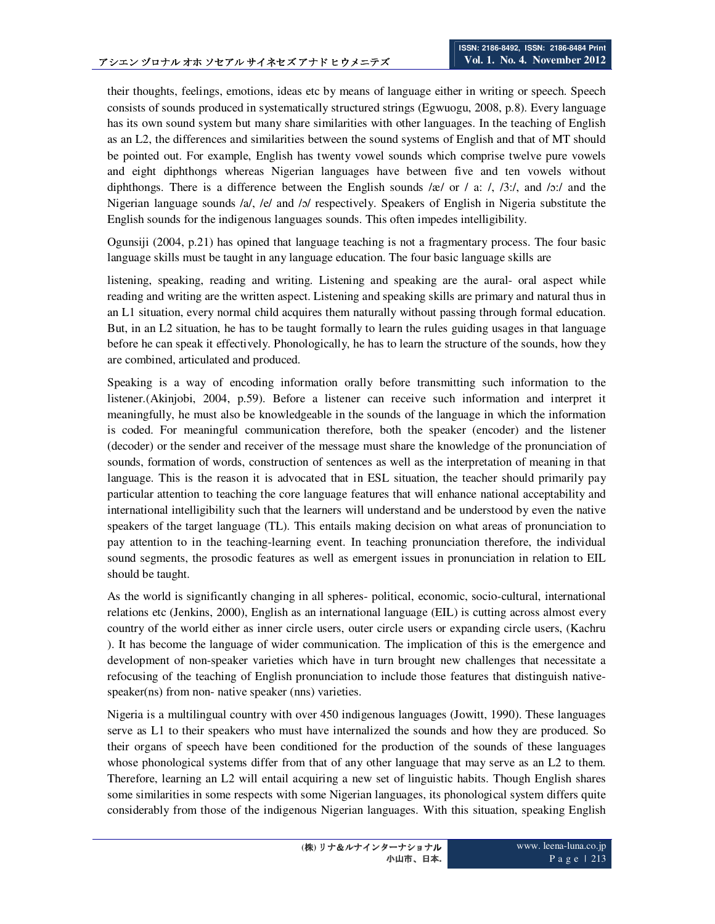their thoughts, feelings, emotions, ideas etc by means of language either in writing or speech. Speech consists of sounds produced in systematically structured strings (Egwuogu, 2008, p.8). Every language has its own sound system but many share similarities with other languages. In the teaching of English as an L2, the differences and similarities between the sound systems of English and that of MT should be pointed out. For example, English has twenty vowel sounds which comprise twelve pure vowels and eight diphthongs whereas Nigerian languages have between five and ten vowels without diphthongs. There is a difference between the English sounds /æ/ or / a: /, /3:/, and /ɔ:/ and the Nigerian language sounds /a/, /e/ and /b/ respectively. Speakers of English in Nigeria substitute the English sounds for the indigenous languages sounds. This often impedes intelligibility.

Ogunsiji (2004, p.21) has opined that language teaching is not a fragmentary process. The four basic language skills must be taught in any language education. The four basic language skills are

listening, speaking, reading and writing. Listening and speaking are the aural- oral aspect while reading and writing are the written aspect. Listening and speaking skills are primary and natural thus in an L1 situation, every normal child acquires them naturally without passing through formal education. But, in an L2 situation, he has to be taught formally to learn the rules guiding usages in that language before he can speak it effectively. Phonologically, he has to learn the structure of the sounds, how they are combined, articulated and produced.

Speaking is a way of encoding information orally before transmitting such information to the listener.(Akinjobi, 2004, p.59). Before a listener can receive such information and interpret it meaningfully, he must also be knowledgeable in the sounds of the language in which the information is coded. For meaningful communication therefore, both the speaker (encoder) and the listener (decoder) or the sender and receiver of the message must share the knowledge of the pronunciation of sounds, formation of words, construction of sentences as well as the interpretation of meaning in that language. This is the reason it is advocated that in ESL situation, the teacher should primarily pay particular attention to teaching the core language features that will enhance national acceptability and international intelligibility such that the learners will understand and be understood by even the native speakers of the target language (TL). This entails making decision on what areas of pronunciation to pay attention to in the teaching-learning event. In teaching pronunciation therefore, the individual sound segments, the prosodic features as well as emergent issues in pronunciation in relation to EIL should be taught.

As the world is significantly changing in all spheres- political, economic, socio-cultural, international relations etc (Jenkins, 2000), English as an international language (EIL) is cutting across almost every country of the world either as inner circle users, outer circle users or expanding circle users, (Kachru ). It has become the language of wider communication. The implication of this is the emergence and development of non-speaker varieties which have in turn brought new challenges that necessitate a refocusing of the teaching of English pronunciation to include those features that distinguish nativespeaker(ns) from non- native speaker (nns) varieties.

Nigeria is a multilingual country with over 450 indigenous languages (Jowitt, 1990). These languages serve as L1 to their speakers who must have internalized the sounds and how they are produced. So their organs of speech have been conditioned for the production of the sounds of these languages whose phonological systems differ from that of any other language that may serve as an L2 to them. Therefore, learning an L2 will entail acquiring a new set of linguistic habits. Though English shares some similarities in some respects with some Nigerian languages, its phonological system differs quite considerably from those of the indigenous Nigerian languages. With this situation, speaking English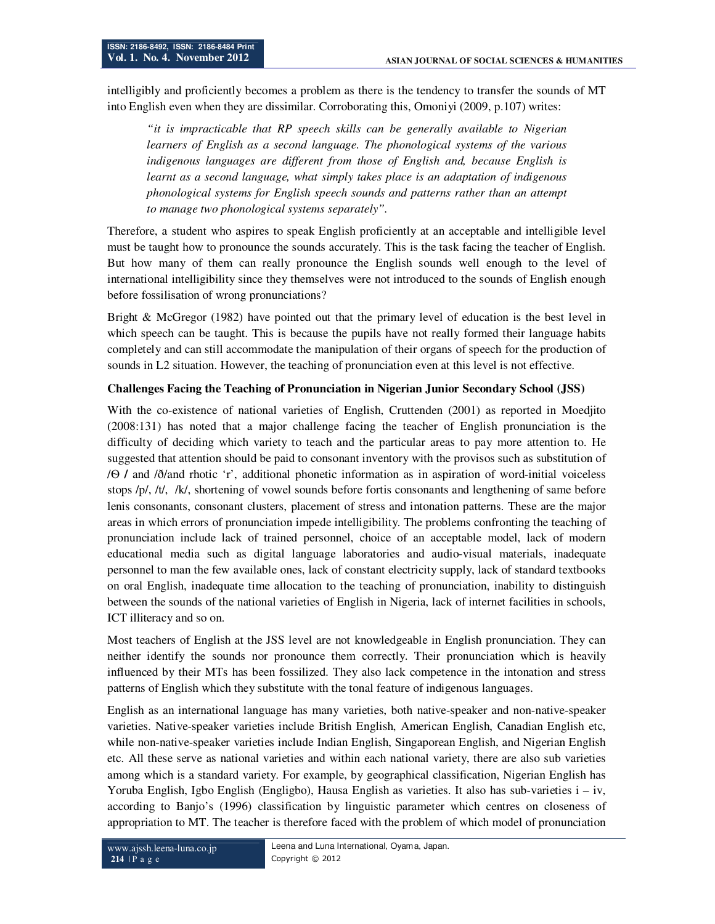intelligibly and proficiently becomes a problem as there is the tendency to transfer the sounds of MT into English even when they are dissimilar. Corroborating this, Omoniyi (2009, p.107) writes:

*"it is impracticable that RP speech skills can be generally available to Nigerian learners of English as a second language. The phonological systems of the various indigenous languages are different from those of English and, because English is learnt as a second language, what simply takes place is an adaptation of indigenous phonological systems for English speech sounds and patterns rather than an attempt to manage two phonological systems separately".* 

Therefore, a student who aspires to speak English proficiently at an acceptable and intelligible level must be taught how to pronounce the sounds accurately. This is the task facing the teacher of English. But how many of them can really pronounce the English sounds well enough to the level of international intelligibility since they themselves were not introduced to the sounds of English enough before fossilisation of wrong pronunciations?

Bright & McGregor (1982) have pointed out that the primary level of education is the best level in which speech can be taught. This is because the pupils have not really formed their language habits completely and can still accommodate the manipulation of their organs of speech for the production of sounds in L2 situation. However, the teaching of pronunciation even at this level is not effective.

# **Challenges Facing the Teaching of Pronunciation in Nigerian Junior Secondary School (JSS)**

With the co-existence of national varieties of English, Cruttenden (2001) as reported in Moedjito (2008:131) has noted that a major challenge facing the teacher of English pronunciation is the difficulty of deciding which variety to teach and the particular areas to pay more attention to. He suggested that attention should be paid to consonant inventory with the provisos such as substitution of /Ѳ **/** and /ð/and rhotic 'r', additional phonetic information as in aspiration of word-initial voiceless stops /p/, /t/, /k/, shortening of vowel sounds before fortis consonants and lengthening of same before lenis consonants, consonant clusters, placement of stress and intonation patterns. These are the major areas in which errors of pronunciation impede intelligibility. The problems confronting the teaching of pronunciation include lack of trained personnel, choice of an acceptable model, lack of modern educational media such as digital language laboratories and audio-visual materials, inadequate personnel to man the few available ones, lack of constant electricity supply, lack of standard textbooks on oral English, inadequate time allocation to the teaching of pronunciation, inability to distinguish between the sounds of the national varieties of English in Nigeria, lack of internet facilities in schools, ICT illiteracy and so on.

Most teachers of English at the JSS level are not knowledgeable in English pronunciation. They can neither identify the sounds nor pronounce them correctly. Their pronunciation which is heavily influenced by their MTs has been fossilized. They also lack competence in the intonation and stress patterns of English which they substitute with the tonal feature of indigenous languages.

English as an international language has many varieties, both native-speaker and non-native-speaker varieties. Native-speaker varieties include British English, American English, Canadian English etc, while non-native-speaker varieties include Indian English, Singaporean English, and Nigerian English etc. All these serve as national varieties and within each national variety, there are also sub varieties among which is a standard variety. For example, by geographical classification, Nigerian English has Yoruba English, Igbo English (Engligbo), Hausa English as varieties. It also has sub-varieties i – iv, according to Banjo's (1996) classification by linguistic parameter which centres on closeness of appropriation to MT. The teacher is therefore faced with the problem of which model of pronunciation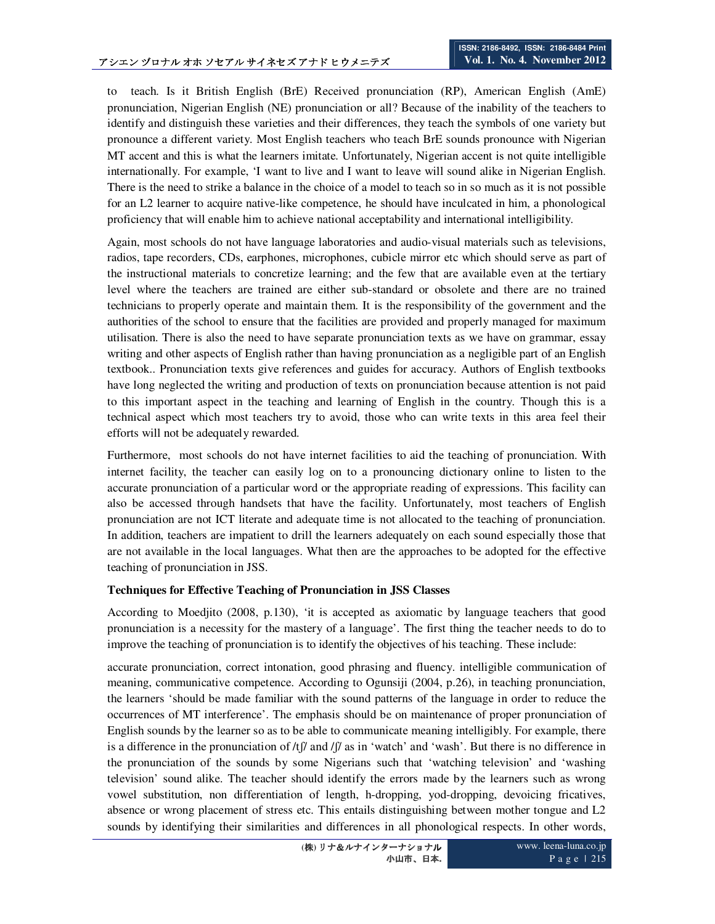to teach. Is it British English (BrE) Received pronunciation (RP), American English (AmE) pronunciation, Nigerian English (NE) pronunciation or all? Because of the inability of the teachers to identify and distinguish these varieties and their differences, they teach the symbols of one variety but pronounce a different variety. Most English teachers who teach BrE sounds pronounce with Nigerian MT accent and this is what the learners imitate. Unfortunately, Nigerian accent is not quite intelligible internationally. For example, 'I want to live and I want to leave will sound alike in Nigerian English. There is the need to strike a balance in the choice of a model to teach so in so much as it is not possible for an L2 learner to acquire native-like competence, he should have inculcated in him, a phonological proficiency that will enable him to achieve national acceptability and international intelligibility.

Again, most schools do not have language laboratories and audio-visual materials such as televisions, radios, tape recorders, CDs, earphones, microphones, cubicle mirror etc which should serve as part of the instructional materials to concretize learning; and the few that are available even at the tertiary level where the teachers are trained are either sub-standard or obsolete and there are no trained technicians to properly operate and maintain them. It is the responsibility of the government and the authorities of the school to ensure that the facilities are provided and properly managed for maximum utilisation. There is also the need to have separate pronunciation texts as we have on grammar, essay writing and other aspects of English rather than having pronunciation as a negligible part of an English textbook.. Pronunciation texts give references and guides for accuracy. Authors of English textbooks have long neglected the writing and production of texts on pronunciation because attention is not paid to this important aspect in the teaching and learning of English in the country. Though this is a technical aspect which most teachers try to avoid, those who can write texts in this area feel their efforts will not be adequately rewarded.

Furthermore, most schools do not have internet facilities to aid the teaching of pronunciation. With internet facility, the teacher can easily log on to a pronouncing dictionary online to listen to the accurate pronunciation of a particular word or the appropriate reading of expressions. This facility can also be accessed through handsets that have the facility. Unfortunately, most teachers of English pronunciation are not ICT literate and adequate time is not allocated to the teaching of pronunciation. In addition, teachers are impatient to drill the learners adequately on each sound especially those that are not available in the local languages. What then are the approaches to be adopted for the effective teaching of pronunciation in JSS.

### **Techniques for Effective Teaching of Pronunciation in JSS Classes**

According to Moedjito (2008, p.130), 'it is accepted as axiomatic by language teachers that good pronunciation is a necessity for the mastery of a language'. The first thing the teacher needs to do to improve the teaching of pronunciation is to identify the objectives of his teaching. These include:

accurate pronunciation, correct intonation, good phrasing and fluency. intelligible communication of meaning, communicative competence. According to Ogunsiji (2004, p.26), in teaching pronunciation, the learners 'should be made familiar with the sound patterns of the language in order to reduce the occurrences of MT interference'. The emphasis should be on maintenance of proper pronunciation of English sounds by the learner so as to be able to communicate meaning intelligibly. For example, there is a difference in the pronunciation of  $\frac{f}{\alpha}$  and  $\frac{f}{\alpha}$  and 'wash'. But there is no difference in the pronunciation of the sounds by some Nigerians such that 'watching television' and 'washing television' sound alike. The teacher should identify the errors made by the learners such as wrong vowel substitution, non differentiation of length, h-dropping, yod-dropping, devoicing fricatives, absence or wrong placement of stress etc. This entails distinguishing between mother tongue and L2 sounds by identifying their similarities and differences in all phonological respects. In other words,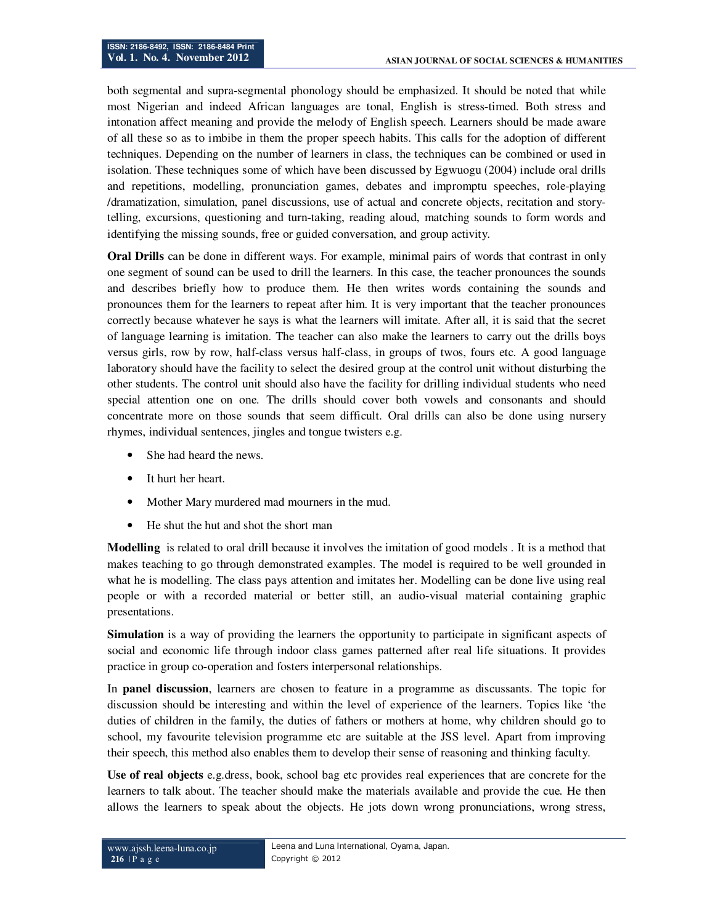both segmental and supra-segmental phonology should be emphasized. It should be noted that while most Nigerian and indeed African languages are tonal, English is stress-timed. Both stress and intonation affect meaning and provide the melody of English speech. Learners should be made aware of all these so as to imbibe in them the proper speech habits. This calls for the adoption of different techniques. Depending on the number of learners in class, the techniques can be combined or used in isolation. These techniques some of which have been discussed by Egwuogu (2004) include oral drills and repetitions, modelling, pronunciation games, debates and impromptu speeches, role-playing /dramatization, simulation, panel discussions, use of actual and concrete objects, recitation and storytelling, excursions, questioning and turn-taking, reading aloud, matching sounds to form words and identifying the missing sounds, free or guided conversation, and group activity.

**Oral Drills** can be done in different ways. For example, minimal pairs of words that contrast in only one segment of sound can be used to drill the learners. In this case, the teacher pronounces the sounds and describes briefly how to produce them. He then writes words containing the sounds and pronounces them for the learners to repeat after him. It is very important that the teacher pronounces correctly because whatever he says is what the learners will imitate. After all, it is said that the secret of language learning is imitation. The teacher can also make the learners to carry out the drills boys versus girls, row by row, half-class versus half-class, in groups of twos, fours etc. A good language laboratory should have the facility to select the desired group at the control unit without disturbing the other students. The control unit should also have the facility for drilling individual students who need special attention one on one. The drills should cover both vowels and consonants and should concentrate more on those sounds that seem difficult. Oral drills can also be done using nursery rhymes, individual sentences, jingles and tongue twisters e.g.

- She had heard the news.
- It hurt her heart.
- Mother Mary murdered mad mourners in the mud.
- He shut the hut and shot the short man

**Modelling** is related to oral drill because it involves the imitation of good models . It is a method that makes teaching to go through demonstrated examples. The model is required to be well grounded in what he is modelling. The class pays attention and imitates her. Modelling can be done live using real people or with a recorded material or better still, an audio-visual material containing graphic presentations.

**Simulation** is a way of providing the learners the opportunity to participate in significant aspects of social and economic life through indoor class games patterned after real life situations. It provides practice in group co-operation and fosters interpersonal relationships.

In **panel discussion**, learners are chosen to feature in a programme as discussants. The topic for discussion should be interesting and within the level of experience of the learners. Topics like 'the duties of children in the family, the duties of fathers or mothers at home, why children should go to school, my favourite television programme etc are suitable at the JSS level. Apart from improving their speech, this method also enables them to develop their sense of reasoning and thinking faculty.

**Use of real objects** e.g.dress, book, school bag etc provides real experiences that are concrete for the learners to talk about. The teacher should make the materials available and provide the cue. He then allows the learners to speak about the objects. He jots down wrong pronunciations, wrong stress,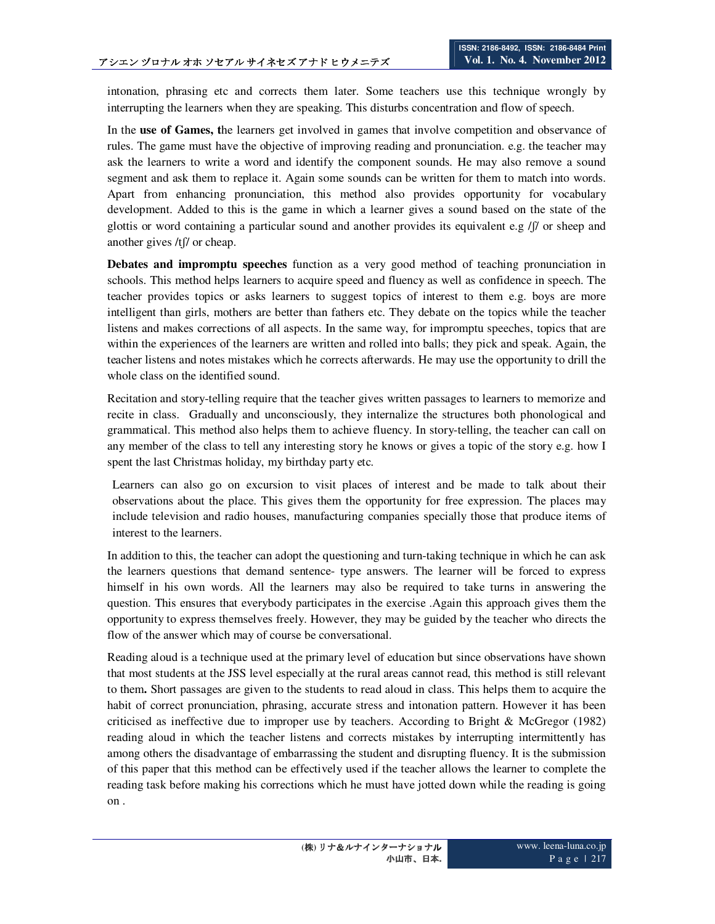intonation, phrasing etc and corrects them later. Some teachers use this technique wrongly by interrupting the learners when they are speaking. This disturbs concentration and flow of speech.

In the **use of Games, t**he learners get involved in games that involve competition and observance of rules. The game must have the objective of improving reading and pronunciation. e.g. the teacher may ask the learners to write a word and identify the component sounds. He may also remove a sound segment and ask them to replace it. Again some sounds can be written for them to match into words. Apart from enhancing pronunciation, this method also provides opportunity for vocabulary development. Added to this is the game in which a learner gives a sound based on the state of the glottis or word containing a particular sound and another provides its equivalent e.g /ʃ/ or sheep and another gives /tʃ/ or cheap.

**Debates and impromptu speeches** function as a very good method of teaching pronunciation in schools. This method helps learners to acquire speed and fluency as well as confidence in speech. The teacher provides topics or asks learners to suggest topics of interest to them e.g. boys are more intelligent than girls, mothers are better than fathers etc. They debate on the topics while the teacher listens and makes corrections of all aspects. In the same way, for impromptu speeches, topics that are within the experiences of the learners are written and rolled into balls; they pick and speak. Again, the teacher listens and notes mistakes which he corrects afterwards. He may use the opportunity to drill the whole class on the identified sound.

Recitation and story-telling require that the teacher gives written passages to learners to memorize and recite in class. Gradually and unconsciously, they internalize the structures both phonological and grammatical. This method also helps them to achieve fluency. In story-telling, the teacher can call on any member of the class to tell any interesting story he knows or gives a topic of the story e.g. how I spent the last Christmas holiday, my birthday party etc.

Learners can also go on excursion to visit places of interest and be made to talk about their observations about the place. This gives them the opportunity for free expression. The places may include television and radio houses, manufacturing companies specially those that produce items of interest to the learners.

In addition to this, the teacher can adopt the questioning and turn-taking technique in which he can ask the learners questions that demand sentence- type answers. The learner will be forced to express himself in his own words. All the learners may also be required to take turns in answering the question. This ensures that everybody participates in the exercise .Again this approach gives them the opportunity to express themselves freely. However, they may be guided by the teacher who directs the flow of the answer which may of course be conversational.

Reading aloud is a technique used at the primary level of education but since observations have shown that most students at the JSS level especially at the rural areas cannot read, this method is still relevant to them**.** Short passages are given to the students to read aloud in class. This helps them to acquire the habit of correct pronunciation, phrasing, accurate stress and intonation pattern. However it has been criticised as ineffective due to improper use by teachers. According to Bright & McGregor (1982) reading aloud in which the teacher listens and corrects mistakes by interrupting intermittently has among others the disadvantage of embarrassing the student and disrupting fluency. It is the submission of this paper that this method can be effectively used if the teacher allows the learner to complete the reading task before making his corrections which he must have jotted down while the reading is going on .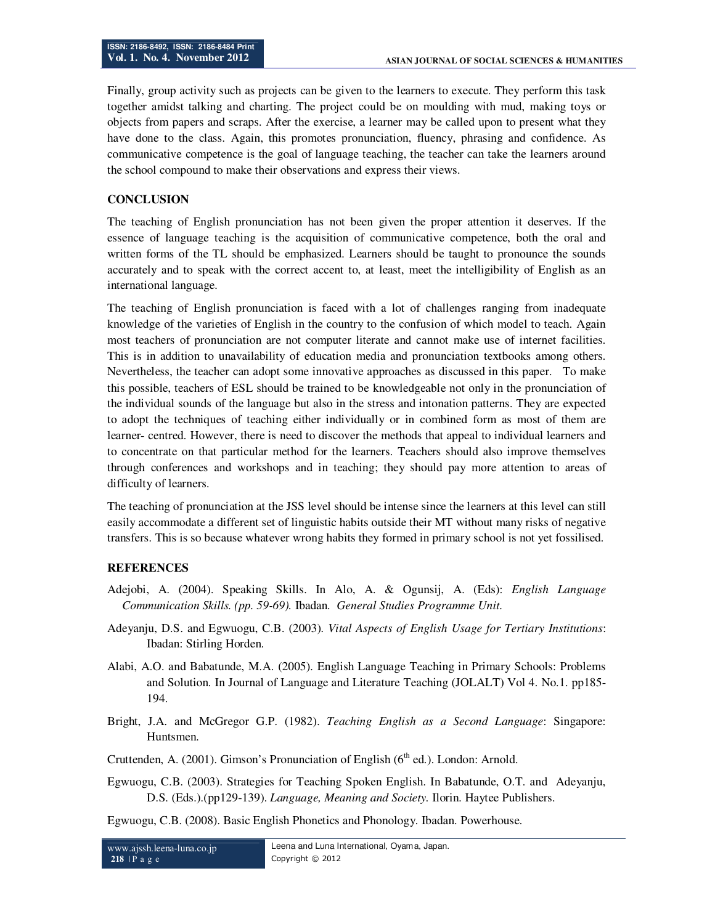Finally, group activity such as projects can be given to the learners to execute. They perform this task together amidst talking and charting. The project could be on moulding with mud, making toys or objects from papers and scraps. After the exercise, a learner may be called upon to present what they have done to the class. Again, this promotes pronunciation, fluency, phrasing and confidence. As communicative competence is the goal of language teaching, the teacher can take the learners around the school compound to make their observations and express their views.

# **CONCLUSION**

The teaching of English pronunciation has not been given the proper attention it deserves. If the essence of language teaching is the acquisition of communicative competence, both the oral and written forms of the TL should be emphasized. Learners should be taught to pronounce the sounds accurately and to speak with the correct accent to, at least, meet the intelligibility of English as an international language.

The teaching of English pronunciation is faced with a lot of challenges ranging from inadequate knowledge of the varieties of English in the country to the confusion of which model to teach. Again most teachers of pronunciation are not computer literate and cannot make use of internet facilities. This is in addition to unavailability of education media and pronunciation textbooks among others. Nevertheless, the teacher can adopt some innovative approaches as discussed in this paper. To make this possible, teachers of ESL should be trained to be knowledgeable not only in the pronunciation of the individual sounds of the language but also in the stress and intonation patterns. They are expected to adopt the techniques of teaching either individually or in combined form as most of them are learner- centred. However, there is need to discover the methods that appeal to individual learners and to concentrate on that particular method for the learners. Teachers should also improve themselves through conferences and workshops and in teaching; they should pay more attention to areas of difficulty of learners.

The teaching of pronunciation at the JSS level should be intense since the learners at this level can still easily accommodate a different set of linguistic habits outside their MT without many risks of negative transfers. This is so because whatever wrong habits they formed in primary school is not yet fossilised.

### **REFERENCES**

- Adejobi, A. (2004). Speaking Skills. In Alo, A. & Ogunsij, A. (Eds): *English Language Communication Skills. (pp. 59-69).* Ibadan. *General Studies Programme Unit*.
- Adeyanju, D.S. and Egwuogu, C.B. (2003). *Vital Aspects of English Usage for Tertiary Institutions*: Ibadan: Stirling Horden.
- Alabi, A.O. and Babatunde, M.A. (2005). English Language Teaching in Primary Schools: Problems and Solution. In Journal of Language and Literature Teaching (JOLALT) Vol 4. No.1. pp185- 194.
- Bright, J.A. and McGregor G.P. (1982). *Teaching English as a Second Language*: Singapore: Huntsmen.
- Cruttenden, A. (2001). Gimson's Pronunciation of English ( $6<sup>th</sup>$  ed.). London: Arnold.
- Egwuogu, C.B. (2003). Strategies for Teaching Spoken English. In Babatunde, O.T. and Adeyanju, D.S. (Eds.).(pp129-139). *Language, Meaning and Society.* Ilorin. Haytee Publishers.
- Egwuogu, C.B. (2008). Basic English Phonetics and Phonology. Ibadan. Powerhouse.